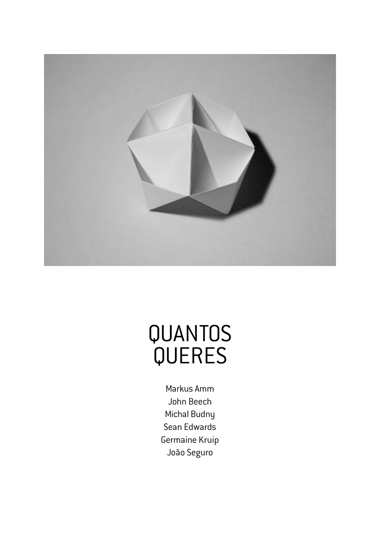

# QUANTOS QUERES

Markus Amm John Beech Michal Budny Sean Edwards Germaine Kruip João Seguro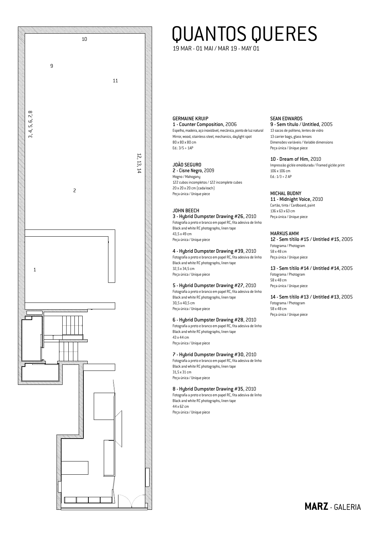

# QUANTOS QUERES

19 MAR - 01 MAI / MAR 19 - MAY 01

GERMAINE KRUIP 1 - Counter Composition, 2006

Espelho, madeira, aço inoxidável, mecânica, ponto de luz natural Mirror, wood, stainless steel, mechanics, daylight spot 80 x 80 x 80 cm  $Ed: 3/5 + 1AP$ 

## JOÃO SEGURO

2 - Cisne Negro, 2009 Mogno / Mahogany 122 cubos incompletos / 122 incomplete cubes 20 x 20 x 20 cm (cada/each) Peça única / Unique piece

## JOHN BEECH

3 - Hybrid Dumpster Drawing #26, 2010 Fotografia a preto e branco em papel RC, fita adesiva de linho Black and white RC photographs, linen tape 43,5 x 49 cm Peça única / Unique piece

# 4 - Hybrid Dumpster Drawing #39, 2010

Fotografia a preto e branco em papel RC, fita adesiva de linho Black and white RC photographs, linen tape 32,5 x 34,5 cm Peça única / Unique piece

# 5 - Hybrid Dumpster Drawing #27, 2010

Fotografia a preto e branco em papel RC, fita adesiva de linho Black and white RC photographs, linen tape 30,5 x 40,5 cm Peça única / Unique piece

# 6 - Hybrid Dumpster Drawing #28, 2010 Fotografia a preto e branco em papel RC, fita adesiva de linho

Black and white RC photographs, linen tape 43 x 44 cm Peça única / Unique piece

7 - Hybrid Dumpster Drawing #30, 2010 Fotografia a preto e branco em papel RC, fita adesiva de linho Black and white RC photographs, linen tape 31,5 x 31 cm Peça única / Unique piece

# 8 - Hybrid Dumpster Drawing #35, 2010

Fotografia a preto e branco em papel RC, fita adesiva de linho Black and white RC photographs, linen tape 44 x 62 cm

Peça única / Unique piece

# SEAN EDWARDS

9 - Sem título / Untitled, 2005 13 sacos de politeno, lentes de vidro 13 carrier bags, glass lenses Dimensões variáveis / Variable dimensions Peça única / Unique piece

## 10 - Dream of Him, 2010

Impressão giclée emoldurada / Framed giclée print 106 x 106 cm Ed.: 1/3 + 2 AP

## MICHAL BUDNY

11 - Midnight Voice, 2010 Cartão, tinta / Cardboard, paint 136 x 63 x 63 cm Peça única / Unique piece

#### MARKUS AMM

12 - Sem títilo #15 / Untitled #15, 2005 Fotograma / Photogram 58 x 48 cm Peça única / Unique piece

13 - Sem títilo #14 / Untitled #14, 2005 Fotograma / Photogram 58 x 48 cm Peça única / Unique piece

14 - Sem títilo #13 / Untitled #13, 2005 Fotograma / Photogram 58 x 48 cm Peça única / Unique piece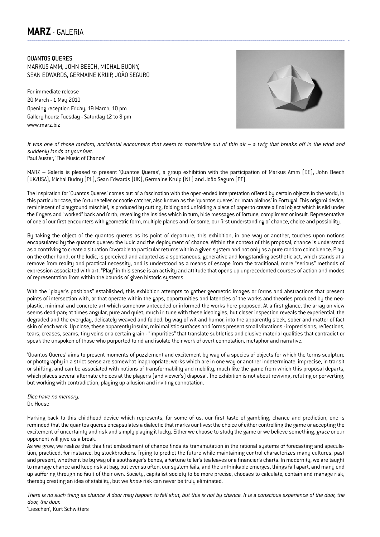# **MARZ** - GALERIA --------------------------------------------------------------------------------------------------------------------------------------------------------------- -

QUANTOS QUERES MARKUS AMM, JOHN BEECH, MICHAL BUDNY, SEAN EDWARDS, GERMAINE KRUIP, JOÃO SEGURO

For immediate release 20 March - 1 May 2010 Opening reception Friday, 19 March, 10 pm Gallery hours: Tuesday - Saturday 12 to 8 pm www.marz.biz



It was one of those random, accidental encounters that seem to materialize out of thin air – a twig that breaks off in the wind and suddenly lands at your feet. Paul Auster, 'The Music of Chance'

MARZ – Galeria is pleased to present 'Quantos Queres', a group exhibition with the participation of Markus Amm (DE), John Beech (UK/USA), Michal Budny (PL), Sean Edwards (UK), Germaine Kruip (NL) and João Seguro (PT).

The inspiration for 'Quantos Queres' comes out of a fascination with the open-ended interpretation offered by certain objects in the world, in this particular case, the fortune teller or cootie catcher, also known as the 'quantos queres' or 'mata piolhos' in Portugal. This origami device, reminiscent of playground mischief, is produced by cutting, folding and unfolding a piece of paper to create a final object which is slid under the fingers and "worked" back and forth, revealing the insides which in turn, hide messages of fortune, compliment or insult. Representative of one of our first encounters with geometric form, multiple planes and for some, our first understanding of chance, choice and possibility.

By taking the object of the quantos queres as its point of departure, this exhibition, in one way or another, touches upon notions encapsulated by the quantos queres: the ludic and the deployment of chance. Within the context of this proposal, chance is understood as a contriving to create a situation favorable to particular returns within a given system and not only as a pure random coincidence. Play, on the other hand, or the ludic, is perceived and adopted as a spontaneous, generative and longstanding aesthetic act, which stands at a remove from reality and practical necessity, and is understood as a means of escape from the traditional, more "serious" methods of expression associated with art. "Play" in this sense is an activity and attitude that opens up unprecedented courses of action and modes of representation from within the bounds of given historic systems.

With the "player's positions" established, this exhibition attempts to gather geometric images or forms and abstractions that present points of intersection with, or that operate within the gaps, opportunities and latencies of the works and theories produced by the neoplastic, minimal and concrete art which somehow anteceded or informed the works here proposed. At a first glance, the array on view seems dead-pan; at times angular, pure and quiet, much in tune with these ideologies, but closer inspection reveals the experiential, the degraded and the everyday, delicately weaved and folded, by way of wit and humor, into the apparently sleek, sober and matter of fact skin of each work. Up close, these apparently insular, minimalistic surfaces and forms present small vibrations - imprecisions, reflections, tears, creases, seams, tiny veins or a certain grain - "impurities" that translate subtleties and elusive material qualities that contradict or speak the unspoken of those who purported to rid and isolate their work of overt connotation, metaphor and narrative.

'Quantos Queres' aims to present moments of puzzlement and excitement by way of a species of objects for which the terms sculpture or photography in a strict sense are somewhat inappropriate; works which are in one way or another indeterminate, imprecise, in transit or shifting, and can be associated with notions of transformability and mobility, much like the game from which this proposal departs, which places several alternate choices at the player's (and viewer's) disposal. The exhibition is not about reviving, refuting or perverting, but working with contradiction, playing up allusion and inviting connotation.

Dice have no memory. Dr. House

Harking back to this childhood device which represents, for some of us, our first taste of gambling, chance and prediction, one is reminded that the quantos queres encapsulates a dialectic that marks our lives: the choice of either controlling the game or accepting the excitement of uncertainty and risk and simply playing it lucky. Either we choose to study the game or we believe something, grace or our opponent will give us a break.

As we grow, we realize that this first embodiment of chance finds its transmutation in the rational systems of forecasting and speculation, practiced, for instance, by stockbrockers. Trying to predict the future while maintaining control characterizes many cultures, past and present, whether it be by way of a soothsayer's bones, a fortune teller's tea leaves or a financier's charts. In modernity, we are taught to manage chance and keep risk at bay, but ever so often, our system fails, and the unthinkable emerges, things fall apart, and many end up suffering through no fault of their own. Society, capitalist society to be more precise, chooses to calculate, contain and manage risk, thereby creating an idea of stability, but we know risk can never be truly eliminated.

There is no such thing as chance. A door may happen to fall shut, but this is not by chance. It is a conscious experience of the door, the door, the door. 'Lieschen', Kurt Schwitters